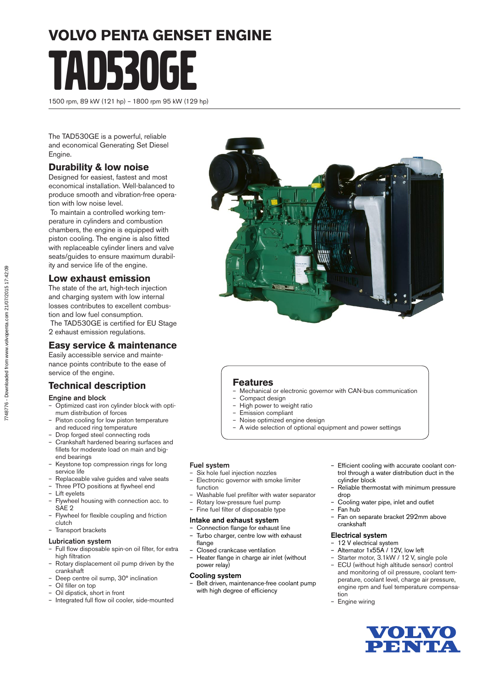# **VOLVO PENTA GENSET ENGINE** TAD530GE

1500 rpm, 89 kW (121 hp) – 1800 rpm 95 kW (129 hp)

The TAD530GE is a powerful, reliable and economical Generating Set Diesel Engine.

#### **Durability & low noise**

Designed for easiest, fastest and most economical installation. Well-balanced to produce smooth and vibration-free operation with low noise level.

 To maintain a controlled working temperature in cylinders and combustion chambers, the engine is equipped with piston cooling. The engine is also fitted with replaceable cylinder liners and valve seats/guides to ensure maximum durability and service life of the engine.

#### **Low exhaust emission**

The state of the art, high-tech injection and charging system with low internal losses contributes to excellent combustion and low fuel consumption. The TAD530GE is certified for EU Stage 2 exhaust emission regulations.

#### **Easy service & maintenance**

Easily accessible service and maintenance points contribute to the ease of service of the engine.

#### **Technical description**

#### Engine and block

- Optimized cast iron cylinder block with optimum distribution of forces
- Piston cooling for low piston temperature and reduced ring temperature
- Drop forged steel connecting rods
- Crankshaft hardened bearing surfaces and fillets for moderate load on main and bigend bearings
- Keystone top compression rings for long service life
- Replaceable valve guides and valve seats
- Three PTO positions at flywheel end
- Lift eyelets
- Flywheel housing with connection acc. to SAE<sub>2</sub>
- Flywheel for flexible coupling and friction clutch
- Transport brackets

#### Lubrication system

- Full flow disposable spin-on oil filter, for extra high filtration
- Rotary displacement oil pump driven by the crankshaft
- Deep centre oil sump, 30° inclination
- Oil filler on top – Oil dipstick, short in front
- Integrated full flow oil cooler, side-mounted



#### **Features**

- Mechanical or electronic governor with CAN-bus communication
- Compact design
- High power to weight ratio
- Emission compliant
- Noise optimized engine design
- A wide selection of optional equipment and power settings

#### Fuel system

- Six hole fuel injection nozzles – Electronic governor with smoke limiter
- function
- Washable fuel prefilter with water separator
- Rotary low-pressure fuel pump
- Fine fuel filter of disposable type

#### Intake and exhaust system

- Connection flange for exhaust line – Turbo charger, centre low with exhaust
- flange – Closed crankcase ventilation
- Heater flange in charge air inlet (without power relay)

#### Cooling system

– Belt driven, maintenance-free coolant pump with high degree of efficiency

- Efficient cooling with accurate coolant control through a water distribution duct in the cylinder block
- Reliable thermostat with minimum pressure drop
- Cooling water pipe, inlet and outlet
- Fan hub
	- Fan on separate bracket 292mm above crankshaft

#### Electrical system

- 12 V electrical system
- Alternator 1x55A / 12V, low left
- Starter motor, 3.1kW / 12 V, single pole
- ECU (without high altitude sensor) control and monitoring of oil pressure, coolant temperature, coolant level, charge air pressure, engine rpm and fuel temperature compensation
- Engine wiring